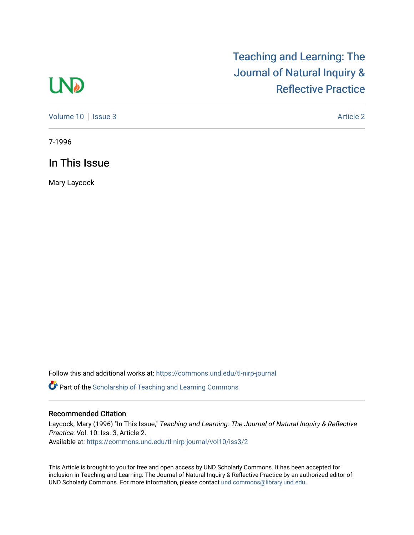## **LND**

## [Teaching and Learning: The](https://commons.und.edu/tl-nirp-journal)  [Journal of Natural Inquiry &](https://commons.und.edu/tl-nirp-journal)  [Reflective Practice](https://commons.und.edu/tl-nirp-journal)

[Volume 10](https://commons.und.edu/tl-nirp-journal/vol10) | [Issue 3](https://commons.und.edu/tl-nirp-journal/vol10/iss3) Article 2

7-1996

In This Issue

Mary Laycock

Follow this and additional works at: [https://commons.und.edu/tl-nirp-journal](https://commons.und.edu/tl-nirp-journal?utm_source=commons.und.edu%2Ftl-nirp-journal%2Fvol10%2Fiss3%2F2&utm_medium=PDF&utm_campaign=PDFCoverPages) 

**P** Part of the Scholarship of Teaching and Learning Commons

## Recommended Citation

Laycock, Mary (1996) "In This Issue," Teaching and Learning: The Journal of Natural Inquiry & Reflective Practice: Vol. 10: Iss. 3, Article 2. Available at: [https://commons.und.edu/tl-nirp-journal/vol10/iss3/2](https://commons.und.edu/tl-nirp-journal/vol10/iss3/2?utm_source=commons.und.edu%2Ftl-nirp-journal%2Fvol10%2Fiss3%2F2&utm_medium=PDF&utm_campaign=PDFCoverPages) 

This Article is brought to you for free and open access by UND Scholarly Commons. It has been accepted for inclusion in Teaching and Learning: The Journal of Natural Inquiry & Reflective Practice by an authorized editor of UND Scholarly Commons. For more information, please contact [und.commons@library.und.edu.](mailto:und.commons@library.und.edu)